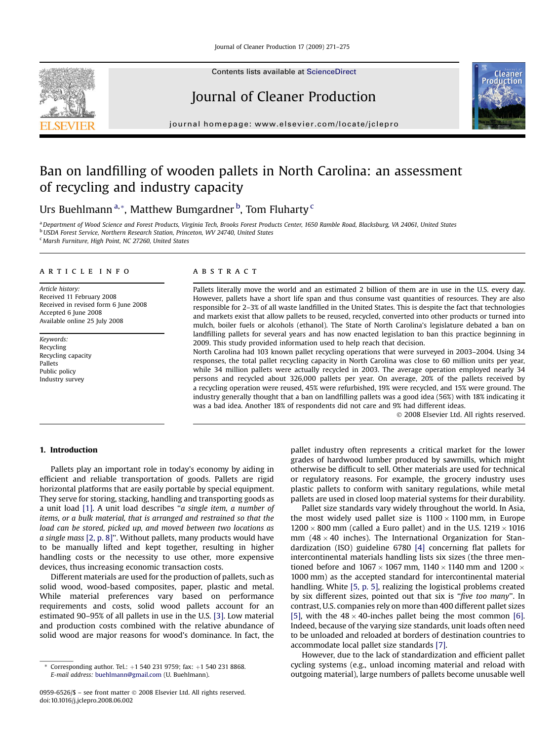Contents lists available at [ScienceDirect](www.sciencedirect.com/science/journal/09596526)

# Journal of Cleaner Production



journal homepage: [www.elsevier.com/locate/jclepro](http://www.elsevier.com/locate/jclepro)

# Ban on landfilling of wooden pallets in North Carolina: an assessment of recycling and industry capacity

Urs Buehlmann<sup>a,</sup>\*, Matthew Bumgardner <sup>b</sup>, Tom Fluharty <sup>c</sup>

a Department of Wood Science and Forest Products, Virginia Tech, Brooks Forest Products Center, 1650 Ramble Road, Blacksburg, VA 24061, United States b USDA Forest Service, Northern Research Station, Princeton, WV 24740, United States <sup>c</sup> Marsh Furniture, High Point, NC 27260, United States

### article info

Article history: Received 11 February 2008 Received in revised form 6 June 2008 Accepted 6 June 2008 Available online 25 July 2008

Keywords: Recycling Recycling capacity Pallets Public policy Industry survey

# **ABSTRACT**

Pallets literally move the world and an estimated 2 billion of them are in use in the U.S. every day. However, pallets have a short life span and thus consume vast quantities of resources. They are also responsible for 2–3% of all waste landfilled in the United States. This is despite the fact that technologies and markets exist that allow pallets to be reused, recycled, converted into other products or turned into mulch, boiler fuels or alcohols (ethanol). The State of North Carolina's legislature debated a ban on landfilling pallets for several years and has now enacted legislation to ban this practice beginning in 2009. This study provided information used to help reach that decision.

North Carolina had 103 known pallet recycling operations that were surveyed in 2003–2004. Using 34 responses, the total pallet recycling capacity in North Carolina was close to 60 million units per year, while 34 million pallets were actually recycled in 2003. The average operation employed nearly 34 persons and recycled about 326,000 pallets per year. On average, 20% of the pallets received by a recycling operation were reused, 45% were refurbished, 19% were recycled, and 15% were ground. The industry generally thought that a ban on landfilling pallets was a good idea (56%) with 18% indicating it was a bad idea. Another 18% of respondents did not care and 9% had different ideas.

- 2008 Elsevier Ltd. All rights reserved.

# 1. Introduction

Pallets play an important role in today's economy by aiding in efficient and reliable transportation of goods. Pallets are rigid horizontal platforms that are easily portable by special equipment. They serve for storing, stacking, handling and transporting goods as a unit load [\[1\]](#page-3-0). A unit load describes ''a single item, a number of items, or a bulk material, that is arranged and restrained so that the load can be stored, picked up, and moved between two locations as a single mass [\[2, p. 8\]'](#page-3-0)'. Without pallets, many products would have to be manually lifted and kept together, resulting in higher handling costs or the necessity to use other, more expensive devices, thus increasing economic transaction costs.

Different materials are used for the production of pallets, such as solid wood, wood-based composites, paper, plastic and metal. While material preferences vary based on performance requirements and costs, solid wood pallets account for an estimated 90–95% of all pallets in use in the U.S. [\[3\]](#page-3-0). Low material and production costs combined with the relative abundance of solid wood are major reasons for wood's dominance. In fact, the pallet industry often represents a critical market for the lower grades of hardwood lumber produced by sawmills, which might otherwise be difficult to sell. Other materials are used for technical or regulatory reasons. For example, the grocery industry uses plastic pallets to conform with sanitary regulations, while metal pallets are used in closed loop material systems for their durability.

Pallet size standards vary widely throughout the world. In Asia, the most widely used pallet size is  $1100 \times 1100$  mm, in Europe  $1200 \times 800$  mm (called a Euro pallet) and in the U.S. 1219  $\times$  1016  $\text{mm}$  (48  $\times$  40 inches). The International Organization for Standardization (ISO) guideline 6780 [\[4\]](#page-3-0) concerning flat pallets for intercontinental materials handling lists six sizes (the three mentioned before and  $1067 \times 1067$  mm,  $1140 \times 1140$  mm and  $1200 \times$ 1000 mm) as the accepted standard for intercontinental material handling. White [\[5, p. 5\]](#page-3-0), realizing the logistical problems created by six different sizes, pointed out that six is "five too many". In contrast, U.S. companies rely on more than 400 different pallet sizes [\[5\]](#page-3-0), with the  $48 \times 40$ -inches pallet being the most common [\[6\].](#page-3-0) Indeed, because of the varying size standards, unit loads often need to be unloaded and reloaded at borders of destination countries to accommodate local pallet size standards [\[7\].](#page-3-0)

However, due to the lack of standardization and efficient pallet cycling systems (e.g., unload incoming material and reload with outgoing material), large numbers of pallets become unusable well

Corresponding author. Tel.:  $+1$  540 231 9759; fax:  $+1$  540 231 8868. E-mail address: [buehlmann@gmail.com](mailto:buehlmann@gmail.com) (U. Buehlmann).

<sup>0959-6526/\$ –</sup> see front matter © 2008 Elsevier Ltd. All rights reserved. doi:10.1016/j.jclepro.2008.06.002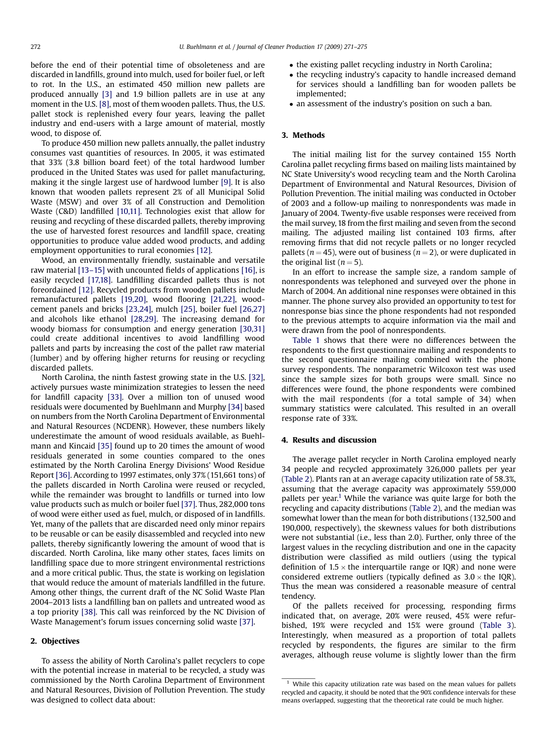before the end of their potential time of obsoleteness and are discarded in landfills, ground into mulch, used for boiler fuel, or left to rot. In the U.S., an estimated 450 million new pallets are produced annually [\[3\]](#page-3-0) and 1.9 billion pallets are in use at any moment in the U.S. [\[8\]](#page-3-0), most of them wooden pallets. Thus, the U.S. pallet stock is replenished every four years, leaving the pallet industry and end-users with a large amount of material, mostly wood, to dispose of.

To produce 450 million new pallets annually, the pallet industry consumes vast quantities of resources. In 2005, it was estimated that 33% (3.8 billion board feet) of the total hardwood lumber produced in the United States was used for pallet manufacturing, making it the single largest use of hardwood lumber [\[9\]](#page-3-0). It is also known that wooden pallets represent 2% of all Municipal Solid Waste (MSW) and over 3% of all Construction and Demolition Waste (C&D) landfilled [\[10,11\]](#page-3-0). Technologies exist that allow for reusing and recycling of these discarded pallets, thereby improving the use of harvested forest resources and landfill space, creating opportunities to produce value added wood products, and adding employment opportunities to rural economies [\[12\].](#page-3-0)

Wood, an environmentally friendly, sustainable and versatile raw material [\[13–15\]](#page-3-0) with uncounted fields of applications [\[16\],](#page-3-0) is easily recycled [\[17,18\].](#page-3-0) Landfilling discarded pallets thus is not foreordained [\[12\]](#page-3-0). Recycled products from wooden pallets include remanufactured pallets [\[19,20\]](#page-3-0), wood flooring [\[21,22\],](#page-3-0) woodcement panels and bricks [\[23,24\]](#page-3-0), mulch [\[25\]](#page-3-0), boiler fuel [\[26,27\]](#page-3-0) and alcohols like ethanol [\[28,29\].](#page-4-0) The increasing demand for woody biomass for consumption and energy generation [\[30,31\]](#page-4-0) could create additional incentives to avoid landfilling wood pallets and parts by increasing the cost of the pallet raw material (lumber) and by offering higher returns for reusing or recycling discarded pallets.

North Carolina, the ninth fastest growing state in the U.S. [\[32\],](#page-4-0) actively pursues waste minimization strategies to lessen the need for landfill capacity [\[33\].](#page-4-0) Over a million ton of unused wood residuals were documented by Buehlmann and Murphy [\[34\]](#page-4-0) based on numbers from the North Carolina Department of Environmental and Natural Resources (NCDENR). However, these numbers likely underestimate the amount of wood residuals available, as Buehlmann and Kincaid [\[35\]](#page-4-0) found up to 20 times the amount of wood residuals generated in some counties compared to the ones estimated by the North Carolina Energy Divisions' Wood Residue Report [\[36\]](#page-4-0). According to 1997 estimates, only 37% (151,661 tons) of the pallets discarded in North Carolina were reused or recycled, while the remainder was brought to landfills or turned into low value products such as mulch or boiler fuel [\[37\]](#page-4-0). Thus, 282,000 tons of wood were either used as fuel, mulch, or disposed of in landfills. Yet, many of the pallets that are discarded need only minor repairs to be reusable or can be easily disassembled and recycled into new pallets, thereby significantly lowering the amount of wood that is discarded. North Carolina, like many other states, faces limits on landfilling space due to more stringent environmental restrictions and a more critical public. Thus, the state is working on legislation that would reduce the amount of materials landfilled in the future. Among other things, the current draft of the NC Solid Waste Plan 2004–2013 lists a landfilling ban on pallets and untreated wood as a top priority [\[38\].](#page-4-0) This call was reinforced by the NC Division of Waste Management's forum issues concerning solid waste [\[37\].](#page-4-0)

# 2. Objectives

To assess the ability of North Carolina's pallet recyclers to cope with the potential increase in material to be recycled, a study was commissioned by the North Carolina Department of Environment and Natural Resources, Division of Pollution Prevention. The study was designed to collect data about:

- the existing pallet recycling industry in North Carolina;
- the recycling industry's capacity to handle increased demand for services should a landfilling ban for wooden pallets be implemented;
- an assessment of the industry's position on such a ban.

# 3. Methods

The initial mailing list for the survey contained 155 North Carolina pallet recycling firms based on mailing lists maintained by NC State University's wood recycling team and the North Carolina Department of Environmental and Natural Resources, Division of Pollution Prevention. The initial mailing was conducted in October of 2003 and a follow-up mailing to nonrespondents was made in January of 2004. Twenty-five usable responses were received from the mail survey, 18 from the first mailing and seven from the second mailing. The adjusted mailing list contained 103 firms, after removing firms that did not recycle pallets or no longer recycled pallets ( $n = 45$ ), were out of business ( $n = 2$ ), or were duplicated in the original list  $(n = 5)$ .

In an effort to increase the sample size, a random sample of nonrespondents was telephoned and surveyed over the phone in March of 2004. An additional nine responses were obtained in this manner. The phone survey also provided an opportunity to test for nonresponse bias since the phone respondents had not responded to the previous attempts to acquire information via the mail and were drawn from the pool of nonrespondents.

[Table 1](#page-2-0) shows that there were no differences between the respondents to the first questionnaire mailing and respondents to the second questionnaire mailing combined with the phone survey respondents. The nonparametric Wilcoxon test was used since the sample sizes for both groups were small. Since no differences were found, the phone respondents were combined with the mail respondents (for a total sample of 34) when summary statistics were calculated. This resulted in an overall response rate of 33%.

# 4. Results and discussion

The average pallet recycler in North Carolina employed nearly 34 people and recycled approximately 326,000 pallets per year ([Table 2](#page-2-0)). Plants ran at an average capacity utilization rate of 58.3%, assuming that the average capacity was approximately 559,000 pallets per year.<sup>1</sup> While the variance was quite large for both the recycling and capacity distributions ([Table 2\)](#page-2-0), and the median was somewhat lower than the mean for both distributions (132,500 and 190,000, respectively), the skewness values for both distributions were not substantial (i.e., less than 2.0). Further, only three of the largest values in the recycling distribution and one in the capacity distribution were classified as mild outliers (using the typical definition of 1.5  $\times$  the interquartile range or IQR) and none were considered extreme outliers (typically defined as  $3.0 \times$  the IQR). Thus the mean was considered a reasonable measure of central tendency.

Of the pallets received for processing, responding firms indicated that, on average, 20% were reused, 45% were refurbished, 19% were recycled and 15% were ground [\(Table 3\)](#page-2-0). Interestingly, when measured as a proportion of total pallets recycled by respondents, the figures are similar to the firm averages, although reuse volume is slightly lower than the firm

 $1$  While this capacity utilization rate was based on the mean values for pallets recycled and capacity, it should be noted that the 90% confidence intervals for these means overlapped, suggesting that the theoretical rate could be much higher.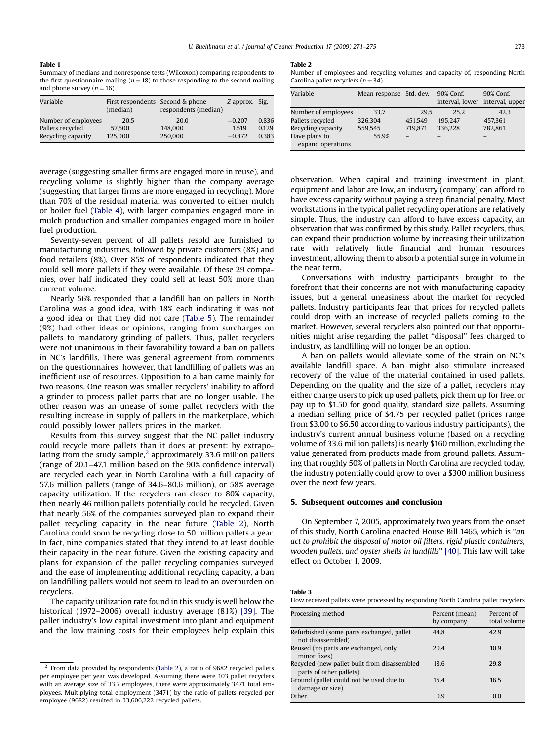## <span id="page-2-0"></span>Table 1

Summary of medians and nonresponse tests (Wilcoxon) comparing respondents to the first questionnaire mailing ( $n = 18$ ) to those responding to the second mailing and phone survey  $(n = 16)$ 

| Variable            | First respondents Second & phone<br>(median) | respondents (median) | Z approx. Sig. |       |
|---------------------|----------------------------------------------|----------------------|----------------|-------|
| Number of employees | 20.5                                         | 20.0                 | $-0.207$       | 0.836 |
| Pallets recycled    | 57,500                                       | 148,000              | 1.519          | 0.129 |
| Recycling capacity  | 125.000                                      | 250,000              | $-0.872$       | 0.383 |

average (suggesting smaller firms are engaged more in reuse), and recycling volume is slightly higher than the company average (suggesting that larger firms are more engaged in recycling). More than 70% of the residual material was converted to either mulch or boiler fuel [\(Table 4](#page-3-0)), with larger companies engaged more in mulch production and smaller companies engaged more in boiler fuel production.

Seventy-seven percent of all pallets resold are furnished to manufacturing industries, followed by private customers (8%) and food retailers (8%). Over 85% of respondents indicated that they could sell more pallets if they were available. Of these 29 companies, over half indicated they could sell at least 50% more than current volume.

Nearly 56% responded that a landfill ban on pallets in North Carolina was a good idea, with 18% each indicating it was not a good idea or that they did not care ([Table 5](#page-3-0)). The remainder (9%) had other ideas or opinions, ranging from surcharges on pallets to mandatory grinding of pallets. Thus, pallet recyclers were not unanimous in their favorability toward a ban on pallets in NC's landfills. There was general agreement from comments on the questionnaires, however, that landfilling of pallets was an inefficient use of resources. Opposition to a ban came mainly for two reasons. One reason was smaller recyclers' inability to afford a grinder to process pallet parts that are no longer usable. The other reason was an unease of some pallet recyclers with the resulting increase in supply of pallets in the marketplace, which could possibly lower pallets prices in the market.

Results from this survey suggest that the NC pallet industry could recycle more pallets than it does at present: by extrapolating from the study sample, $<sup>2</sup>$  approximately 33.6 million pallets</sup> (range of 20.1–47.1 million based on the 90% confidence interval) are recycled each year in North Carolina with a full capacity of 57.6 million pallets (range of 34.6–80.6 million), or 58% average capacity utilization. If the recyclers ran closer to 80% capacity, then nearly 46 million pallets potentially could be recycled. Given that nearly 56% of the companies surveyed plan to expand their pallet recycling capacity in the near future (Table 2), North Carolina could soon be recycling close to 50 million pallets a year. In fact, nine companies stated that they intend to at least double their capacity in the near future. Given the existing capacity and plans for expansion of the pallet recycling companies surveyed and the ease of implementing additional recycling capacity, a ban on landfilling pallets would not seem to lead to an overburden on recyclers.

The capacity utilization rate found in this study is well below the historical (1972–2006) overall industry average (81%) [\[39\]](#page-4-0). The pallet industry's low capital investment into plant and equipment and the low training costs for their employees help explain this

#### Table 2

Number of employees and recycling volumes and capacity of, responding North Carolina pallet recyclers  $(n = 34)$ 

| Variable                           | Mean response Std. dev. |         | 90% Conf.<br>interval, lower interval, upper | 90% Conf. |
|------------------------------------|-------------------------|---------|----------------------------------------------|-----------|
| Number of employees                | 33.7                    | 29.5    | 25.2                                         | 42.3      |
| Pallets recycled                   | 326,304                 | 451,549 | 195.247                                      | 457,361   |
| Recycling capacity                 | 559,545                 | 719,871 | 336,228                                      | 782,861   |
| Have plans to<br>expand operations | 55.9%                   |         |                                              |           |

observation. When capital and training investment in plant, equipment and labor are low, an industry (company) can afford to have excess capacity without paying a steep financial penalty. Most workstations in the typical pallet recycling operations are relatively simple. Thus, the industry can afford to have excess capacity, an observation that was confirmed by this study. Pallet recyclers, thus, can expand their production volume by increasing their utilization rate with relatively little financial and human resources investment, allowing them to absorb a potential surge in volume in the near term.

Conversations with industry participants brought to the forefront that their concerns are not with manufacturing capacity issues, but a general uneasiness about the market for recycled pallets. Industry participants fear that prices for recycled pallets could drop with an increase of recycled pallets coming to the market. However, several recyclers also pointed out that opportunities might arise regarding the pallet ''disposal'' fees charged to industry, as landfilling will no longer be an option.

A ban on pallets would alleviate some of the strain on NC's available landfill space. A ban might also stimulate increased recovery of the value of the material contained in used pallets. Depending on the quality and the size of a pallet, recyclers may either charge users to pick up used pallets, pick them up for free, or pay up to \$1.50 for good quality, standard size pallets. Assuming a median selling price of \$4.75 per recycled pallet (prices range from \$3.00 to \$6.50 according to various industry participants), the industry's current annual business volume (based on a recycling volume of 33.6 million pallets) is nearly \$160 million, excluding the value generated from products made from ground pallets. Assuming that roughly 50% of pallets in North Carolina are recycled today, the industry potentially could grow to over a \$300 million business over the next few years.

# 5. Subsequent outcomes and conclusion

On September 7, 2005, approximately two years from the onset of this study, North Carolina enacted House Bill 1465, which is ''an act to prohibit the disposal of motor oil filters, rigid plastic containers, wooden pallets, and oyster shells in landfills'' [\[40\].](#page-4-0) This law will take effect on October 1, 2009.

| ł, |  |
|----|--|
|----|--|

How received pallets were processed by responding North Carolina pallet recyclers

| Processing method                                                       | Percent (mean)<br>by company | Percent of<br>total volume |
|-------------------------------------------------------------------------|------------------------------|----------------------------|
| Refurbished (some parts exchanged, pallet<br>not disassembled)          | 44.8                         | 42.9                       |
| Reused (no parts are exchanged, only<br>minor fixes)                    | 20.4                         | 10.9                       |
| Recycled (new pallet built from disassembled<br>parts of other pallets) | 18.6                         | 29.8                       |
| Ground (pallet could not be used due to<br>damage or size)              | 154                          | 16.5                       |
| Other                                                                   | 0.9                          | 0.0                        |

 $2$  From data provided by respondents (Table 2), a ratio of 9682 recycled pallets per employee per year was developed. Assuming there were 103 pallet recyclers with an average size of 33.7 employees, there were approximately 3471 total employees. Multiplying total employment (3471) by the ratio of pallets recycled per employee (9682) resulted in 33,606,222 recycled pallets.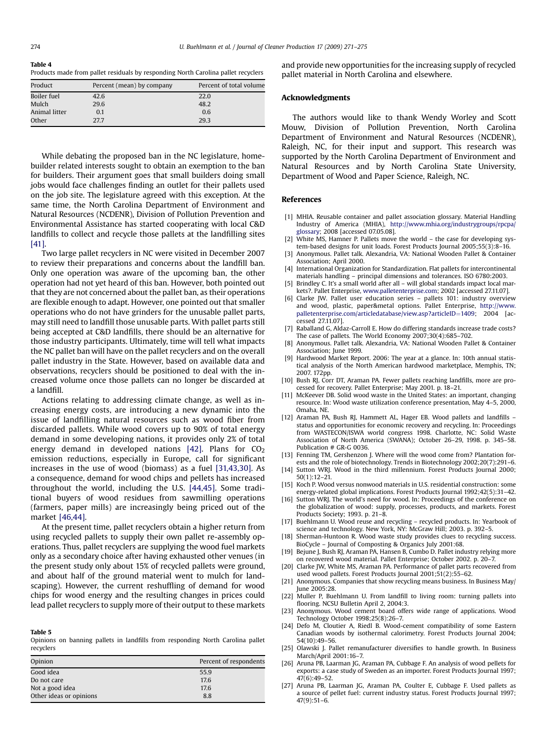#### <span id="page-3-0"></span>Table 4

Products made from pallet residuals by responding North Carolina pallet recyclers

| Product       | Percent (mean) by company | Percent of total volume |
|---------------|---------------------------|-------------------------|
| Boiler fuel   | 42.6                      | 22.0                    |
| Mulch         | 29.6                      | 48.2                    |
| Animal litter | 0.1                       | 0.6                     |
| Other         | 27.7                      | 29.3                    |

While debating the proposed ban in the NC legislature, homebuilder related interests sought to obtain an exemption to the ban for builders. Their argument goes that small builders doing small jobs would face challenges finding an outlet for their pallets used on the job site. The legislature agreed with this exception. At the same time, the North Carolina Department of Environment and Natural Resources (NCDENR), Division of Pollution Prevention and Environmental Assistance has started cooperating with local C&D landfills to collect and recycle those pallets at the landfilling sites [\[41\].](#page-4-0)

Two large pallet recyclers in NC were visited in December 2007 to review their preparations and concerns about the landfill ban. Only one operation was aware of the upcoming ban, the other operation had not yet heard of this ban. However, both pointed out that they are not concerned about the pallet ban, as their operations are flexible enough to adapt. However, one pointed out that smaller operations who do not have grinders for the unusable pallet parts, may still need to landfill those unusable parts. With pallet parts still being accepted at C&D landfills, there should be an alternative for those industry participants. Ultimately, time will tell what impacts the NC pallet ban will have on the pallet recyclers and on the overall pallet industry in the State. However, based on available data and observations, recyclers should be positioned to deal with the increased volume once those pallets can no longer be discarded at a landfill.

Actions relating to addressing climate change, as well as increasing energy costs, are introducing a new dynamic into the issue of landfilling natural resources such as wood fiber from discarded pallets. While wood covers up to 90% of total energy demand in some developing nations, it provides only 2% of total energy demand in developed nations  $[42]$ . Plans for  $CO<sub>2</sub>$ emission reductions, especially in Europe, call for significant increases in the use of wood (biomass) as a fuel [\[31,43,30\]](#page-4-0). As a consequence, demand for wood chips and pellets has increased throughout the world, including the U.S. [\[44,45\]](#page-4-0). Some traditional buyers of wood residues from sawmilling operations (farmers, paper mills) are increasingly being priced out of the market [\[46,44\].](#page-4-0)

At the present time, pallet recyclers obtain a higher return from using recycled pallets to supply their own pallet re-assembly operations. Thus, pallet recyclers are supplying the wood fuel markets only as a secondary choice after having exhausted other venues (in the present study only about 15% of recycled pallets were ground, and about half of the ground material went to mulch for landscaping). However, the current reshuffling of demand for wood chips for wood energy and the resulting changes in prices could lead pallet recyclers to supply more of their output to these markets

#### Table 5

Opinions on banning pallets in landfills from responding North Carolina pallet recyclers

| Opinion                 | Percent of respondents |
|-------------------------|------------------------|
| Good idea               | 55.9                   |
| Do not care             | 17.6                   |
| Not a good idea         | 17.6                   |
| Other ideas or opinions | 8.8                    |

and provide new opportunities for the increasing supply of recycled pallet material in North Carolina and elsewhere.

## Acknowledgments

The authors would like to thank Wendy Worley and Scott Mouw, Division of Pollution Prevention, North Carolina Department of Environment and Natural Resources (NCDENR), Raleigh, NC, for their input and support. This research was supported by the North Carolina Department of Environment and Natural Resources and by North Carolina State University, Department of Wood and Paper Science, Raleigh, NC.

## References

- [1] MHIA. Reusable container and pallet association glossary. Material Handling Industry of America (MHIA), [http://www.mhia.org/industrygroups/rpcpa/](http://www.mhia.org/industrygroups/rpcpa/glossary) [glossary](http://www.mhia.org/industrygroups/rpcpa/glossary); 2008 [accessed 07.05.08].
- [2] White MS, Hamner P. Pallets move the world the case for developing system-based designs for unit loads. Forest Products Journal 2005;55(3):8-16.
- [3] Anonymous. Pallet talk. Alexandria, VA: National Wooden Pallet & Container Association; April 2000.
- [4] International Organization for Standardization. Flat pallets for intercontinental materials handling – principal dimensions and tolerances. ISO 6780:2003.
- [5] Brindley C. It's a small world after all will global standards impact local markets?. Pallet Enterprise, [www.palletenterprise.com](http://www.palletenterprise.com); 2002 [accessed 27.11.07].
- [6] Clarke JW. Pallet user education series pallets 101: industry overview and wood, plastic, paper&metal options. Pallet Enterprise, [http://www.](http://www.palletenterprise.com/articledatabase/view.asp%3FarticleID%3D1409) [palletenterprise.com/articledatabase/view.asp?articleID](http://www.palletenterprise.com/articledatabase/view.asp%3FarticleID%3D1409)=[1409;](http://www.palletenterprise.com/articledatabase/view.asp%3FarticleID%3D1409) 2004 [accessed 27.11.07].
- [7] Raballand G, Aldaz-Carroll E. How do differing standards increase trade costs? The case of pallets. The World Economy 2007;30(4):685–702.
- [8] Anonymous. Pallet talk. Alexandria, VA: National Wooden Pallet & Container Association; June 1999.
- [9] Hardwood Market Report. 2006: The year at a glance. In: 10th annual statistical analysis of the North American hardwood marketplace, Memphis, TN; 2007. 172pp.
- [10] Bush RJ, Corr DT, Araman PA. Fewer pallets reaching landfills, more are processed for recovery. Pallet Enterprise; May 2001. p. 18–21.
- [11] McKeever DB. Solid wood waste in the United States: an important, changing resource. In: Wood waste utilization conference presentation, May 4–5, 2000, Omaha, NE.
- [12] Araman PA, Bush RJ, Hammett AL, Hager EB. Wood pallets and landfills status and opportunities for economic recovery and recycling. In: Proceedings from WASTECON/ISWA world congress 1998. Charlotte, NC: Solid Waste Association of North America (SWANA); October 26–29, 1998. p. 345–58. Publication # GR-G 0036.
- [13] Fenning TM, Gershenzon J. Where will the wood come from? Plantation forests and the role of biotechnology. Trends in Biotechnology 2002;20(7):291–6.
- [14] Sutton WRJ. Wood in the third millennium. Forest Products Journal 2000; 50(1):12–21.
- [15] Koch P. Wood versus nonwood materials in U.S. residential construction: some energy-related global implications. Forest Products Journal 1992;42(5):31–42.
- [16] Sutton WRJ. The world's need for wood. In: Proceedings of the conference on the globalization of wood: supply, processes, products, and markets. Forest Products Society; 1993. p. 21–8.
- [17] Buehlmann U. Wood reuse and recycling recycled products. In: Yearbook of science and technology. New York, NY: McGraw Hill; 2003. p. 392–5.
- [18] Sherman-Huntoon R. Wood waste study provides clues to recycling success. BioCycle – Journal of Composting & Organics July 2001:68.
- [19] Bejune J, Bush RJ, Araman PA, Hansen B, Cumbo D. Pallet industry relying more on recovered wood material. Pallet Enterprise; October 2002. p. 20–7.
- [20] Clarke JW, White MS, Araman PA. Performance of pallet parts recovered from used wood pallets. Forest Products Journal 2001;51(2):55–62.
- [21] Anonymous. Companies that show recycling means business. In Business May/ June 2005:28.
- [22] Muller P, Buehlmann U. From landfill to living room: turning pallets into flooring. NCSU Bulletin April 2, 2004:3.
- [23] Anonymous. Wood cement board offers wide range of applications. Wood Technology October 1998;25(8):26–7.
- [24] Defo M, Cloutier A, Riedl B. Wood-cement compatibility of some Eastern Canadian woods by isothermal calorimetry. Forest Products Journal 2004; 54(10):49–56.
- [25] Olawski J. Pallet remanufacturer diversifies to handle growth. In Business March/April 2001:16–7.
- [26] Aruna PB, Laarman JG, Araman PA, Cubbage F. An analysis of wood pellets for exports: a case study of Sweden as an importer. Forest Products Journal 1997; 47(6):49–52.
- [27] Aruna PB, Laarman JG, Araman PA, Coulter E, Cubbage F. Used pallets as a source of pellet fuel: current industry status. Forest Products Journal 1997; 47(9):51–6.